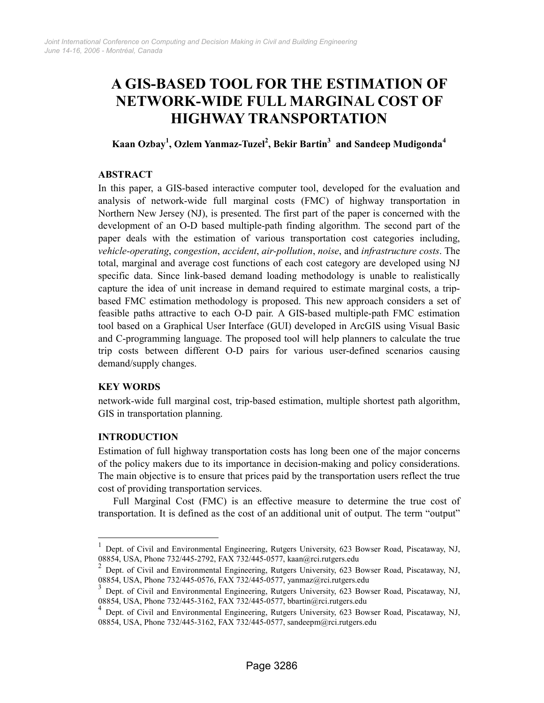# A GIS-BASED TOOL FOR THE ESTIMATION OF NETWORK-WIDE FULL MARGINAL COST OF HIGHWAY TRANSPORTATION

# Kaan Ozbay $^1$ , Ozlem Yanmaz-Tuzel $^2$ , Bekir Bartin $^3\,$  and Sandeep Mudigonda $^4\,$

# ABSTRACT

In this paper, a GIS-based interactive computer tool, developed for the evaluation and analysis of network-wide full marginal costs (FMC) of highway transportation in Northern New Jersey (NJ), is presented. The first part of the paper is concerned with the development of an O-D based multiple-path finding algorithm. The second part of the paper deals with the estimation of various transportation cost categories including, vehicle-operating, congestion, accident, air-pollution, noise, and infrastructure costs. The total, marginal and average cost functions of each cost category are developed using NJ specific data. Since link-based demand loading methodology is unable to realistically capture the idea of unit increase in demand required to estimate marginal costs, a tripbased FMC estimation methodology is proposed. This new approach considers a set of feasible paths attractive to each O-D pair. A GIS-based multiple-path FMC estimation tool based on a Graphical User Interface (GUI) developed in ArcGIS using Visual Basic and C-programming language. The proposed tool will help planners to calculate the true trip costs between different O-D pairs for various user-defined scenarios causing demand/supply changes.

## KEY WORDS

network-wide full marginal cost, trip-based estimation, multiple shortest path algorithm, GIS in transportation planning.

## INTRODUCTION

-

Estimation of full highway transportation costs has long been one of the major concerns of the policy makers due to its importance in decision-making and policy considerations. The main objective is to ensure that prices paid by the transportation users reflect the true cost of providing transportation services.

Full Marginal Cost (FMC) is an effective measure to determine the true cost of transportation. It is defined as the cost of an additional unit of output. The term "output"

<sup>1</sup> Dept. of Civil and Environmental Engineering, Rutgers University, 623 Bowser Road, Piscataway, NJ, 08854, USA, Phone 732/445-2792, FAX 732/445-0577, kaan@rci.rutgers.edu

<sup>2</sup> Dept. of Civil and Environmental Engineering, Rutgers University, 623 Bowser Road, Piscataway, NJ, 08854, USA, Phone 732/445-0576, FAX 732/445-0577, yanmaz@rci.rutgers.edu

<sup>3</sup> Dept. of Civil and Environmental Engineering, Rutgers University, 623 Bowser Road, Piscataway, NJ, 08854, USA, Phone 732/445-3162, FAX 732/445-0577, bbartin@rci.rutgers.edu

<sup>4</sup> Dept. of Civil and Environmental Engineering, Rutgers University, 623 Bowser Road, Piscataway, NJ, 08854, USA, Phone 732/445-3162, FAX 732/445-0577, sandeepm@rci.rutgers.edu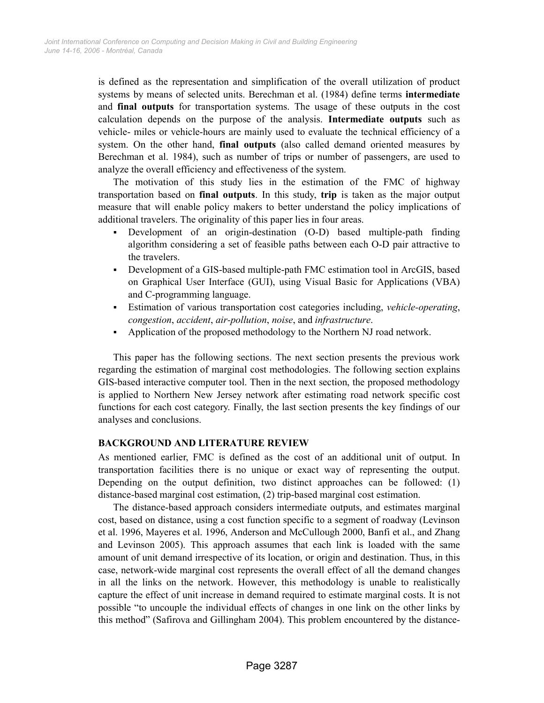is defined as the representation and simplification of the overall utilization of product systems by means of selected units. Berechman et al. (1984) define terms intermediate and final outputs for transportation systems. The usage of these outputs in the cost calculation depends on the purpose of the analysis. Intermediate outputs such as vehicle- miles or vehicle-hours are mainly used to evaluate the technical efficiency of a system. On the other hand, **final outputs** (also called demand oriented measures by Berechman et al. 1984), such as number of trips or number of passengers, are used to analyze the overall efficiency and effectiveness of the system.

The motivation of this study lies in the estimation of the FMC of highway transportation based on final outputs. In this study, trip is taken as the major output measure that will enable policy makers to better understand the policy implications of additional travelers. The originality of this paper lies in four areas.

- Development of an origin-destination (O-D) based multiple-path finding algorithm considering a set of feasible paths between each O-D pair attractive to the travelers.
- Development of a GIS-based multiple-path FMC estimation tool in ArcGIS, based on Graphical User Interface (GUI), using Visual Basic for Applications (VBA) and C-programming language.
- Estimation of various transportation cost categories including, vehicle-operating, congestion, accident, air-pollution, noise, and infrastructure.
- Application of the proposed methodology to the Northern NJ road network.

This paper has the following sections. The next section presents the previous work regarding the estimation of marginal cost methodologies. The following section explains GIS-based interactive computer tool. Then in the next section, the proposed methodology is applied to Northern New Jersey network after estimating road network specific cost functions for each cost category. Finally, the last section presents the key findings of our analyses and conclusions.

## BACKGROUND AND LITERATURE REVIEW

As mentioned earlier, FMC is defined as the cost of an additional unit of output. In transportation facilities there is no unique or exact way of representing the output. Depending on the output definition, two distinct approaches can be followed: (1) distance-based marginal cost estimation, (2) trip-based marginal cost estimation.

The distance-based approach considers intermediate outputs, and estimates marginal cost, based on distance, using a cost function specific to a segment of roadway (Levinson et al. 1996, Mayeres et al. 1996, Anderson and McCullough 2000, Banfi et al., and Zhang and Levinson 2005). This approach assumes that each link is loaded with the same amount of unit demand irrespective of its location, or origin and destination. Thus, in this case, network-wide marginal cost represents the overall effect of all the demand changes in all the links on the network. However, this methodology is unable to realistically capture the effect of unit increase in demand required to estimate marginal costs. It is not possible "to uncouple the individual effects of changes in one link on the other links by this method" (Safirova and Gillingham 2004). This problem encountered by the distance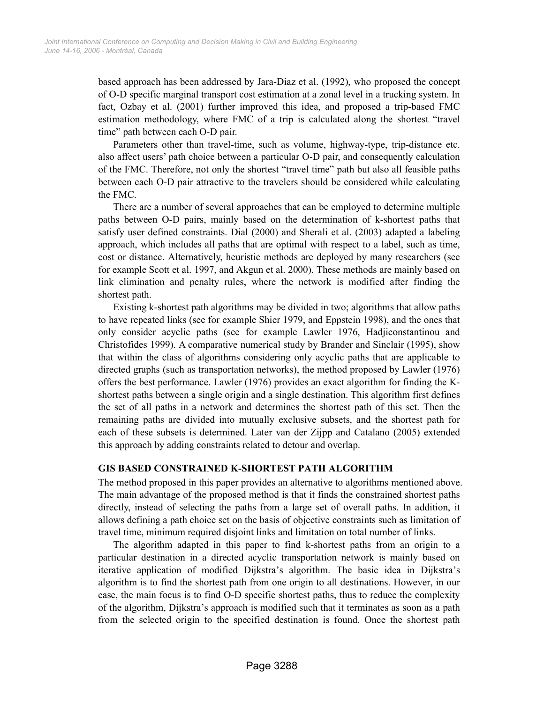based approach has been addressed by Jara-Diaz et al. (1992), who proposed the concept of O-D specific marginal transport cost estimation at a zonal level in a trucking system. In fact, Ozbay et al. (2001) further improved this idea, and proposed a trip-based FMC estimation methodology, where FMC of a trip is calculated along the shortest "travel time" path between each O-D pair.

Parameters other than travel-time, such as volume, highway-type, trip-distance etc. also affect users' path choice between a particular O-D pair, and consequently calculation of the FMC. Therefore, not only the shortest "travel time" path but also all feasible paths between each O-D pair attractive to the travelers should be considered while calculating the FMC.

There are a number of several approaches that can be employed to determine multiple paths between O-D pairs, mainly based on the determination of k-shortest paths that satisfy user defined constraints. Dial (2000) and Sherali et al. (2003) adapted a labeling approach, which includes all paths that are optimal with respect to a label, such as time, cost or distance. Alternatively, heuristic methods are deployed by many researchers (see for example Scott et al. 1997, and Akgun et al. 2000). These methods are mainly based on link elimination and penalty rules, where the network is modified after finding the shortest path.

Existing k-shortest path algorithms may be divided in two; algorithms that allow paths to have repeated links (see for example Shier 1979, and Eppstein 1998), and the ones that only consider acyclic paths (see for example Lawler 1976, Hadjiconstantinou and Christofides 1999). A comparative numerical study by Brander and Sinclair (1995), show that within the class of algorithms considering only acyclic paths that are applicable to directed graphs (such as transportation networks), the method proposed by Lawler (1976) offers the best performance. Lawler (1976) provides an exact algorithm for finding the Kshortest paths between a single origin and a single destination. This algorithm first defines the set of all paths in a network and determines the shortest path of this set. Then the remaining paths are divided into mutually exclusive subsets, and the shortest path for each of these subsets is determined. Later van der Zijpp and Catalano (2005) extended this approach by adding constraints related to detour and overlap.

# GIS BASED CONSTRAINED K-SHORTEST PATH ALGORITHM

The method proposed in this paper provides an alternative to algorithms mentioned above. The main advantage of the proposed method is that it finds the constrained shortest paths directly, instead of selecting the paths from a large set of overall paths. In addition, it allows defining a path choice set on the basis of objective constraints such as limitation of travel time, minimum required disjoint links and limitation on total number of links.

The algorithm adapted in this paper to find k-shortest paths from an origin to a particular destination in a directed acyclic transportation network is mainly based on iterative application of modified Dijkstra's algorithm. The basic idea in Dijkstra's algorithm is to find the shortest path from one origin to all destinations. However, in our case, the main focus is to find O-D specific shortest paths, thus to reduce the complexity of the algorithm, Dijkstra's approach is modified such that it terminates as soon as a path from the selected origin to the specified destination is found. Once the shortest path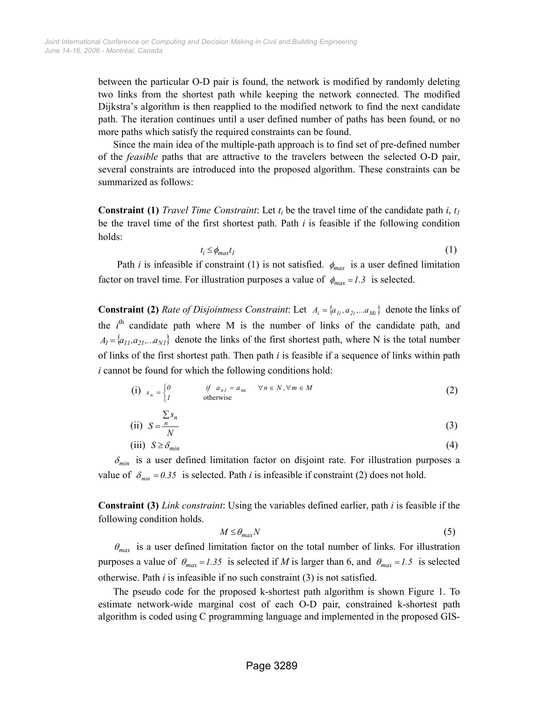between the particular O-D pair is found, the network is modified by randomly deleting two links from the shortest path while keeping the network connected. The modified Dijkstra's algorithm is then reapplied to the modified network to find the next candidate path. The iteration continues until a user defined number of paths has been found, or no more paths which satisfy the required constraints can be found.

Since the main idea of the multiple-path approach is to find set of pre-defined number of the feasible paths that are attractive to the travelers between the selected O-D pair, several constraints are introduced into the proposed algorithm. These constraints can be summarized as follows:

**Constraint (1)** *Travel Time Constraint*: Let  $t_i$  be the travel time of the candidate path i,  $t_i$ be the travel time of the first shortest path. Path  $i$  is feasible if the following condition holds:

$$
t_i \leq \phi_{max} t_l \tag{1}
$$

Path *i* is infeasible if constraint (1) is not satisfied.  $\phi_{max}$  is a user defined limitation factor on travel time. For illustration purposes a value of  $\phi_{max} = 1.3$  is selected.

**Constraint (2)** *Rate of Disjointness Constraint*: Let  $A_i = \{a_{1i}, a_{2i}, \ldots, a_{Mi}\}\$  denote the links of the  $i<sup>th</sup>$  candidate path where M is the number of links of the candidate path, and  $A_1 = \{a_{11}, a_{21}, \ldots a_{N1}\}\$  denote the links of the first shortest path, where N is the total number of links of the first shortest path. Then path  $i$  is feasible if a sequence of links within path i cannot be found for which the following conditions hold:

$$
\begin{array}{ll}\n\text{(i)} \quad s_n = \n\begin{cases}\n0 & \text{if} \quad a_{n,l} = a_{mi} \quad \forall n \in N, \forall m \in M \\
l & \text{otherwise}\n\end{cases}\n\end{array}\n\tag{2}
$$

(ii) 
$$
S = \frac{S}{N}
$$
 (3)

$$
(iii) S \geq \delta_{min} \tag{4}
$$

 $\delta_{min}$  is a user defined limitation factor on disjoint rate. For illustration purposes a value of  $\delta_{\min} = 0.35$  is selected. Path *i* is infeasible if constraint (2) does not hold.

Constraint (3) Link constraint: Using the variables defined earlier, path i is feasible if the following condition holds.

$$
M \le \theta_{\text{max}} N \tag{5}
$$

 $\theta_{max}$  is a user defined limitation factor on the total number of links. For illustration purposes a value of  $\theta_{max} = 1.35$  is selected if M is larger than 6, and  $\theta_{max} = 1.5$  is selected otherwise. Path  $i$  is infeasible if no such constraint  $(3)$  is not satisfied.

The pseudo code for the proposed k-shortest path algorithm is shown Figure 1. To estimate network-wide marginal cost of each O-D pair, constrained k-shortest path algorithm is coded using C programming language and implemented in the proposed GIS-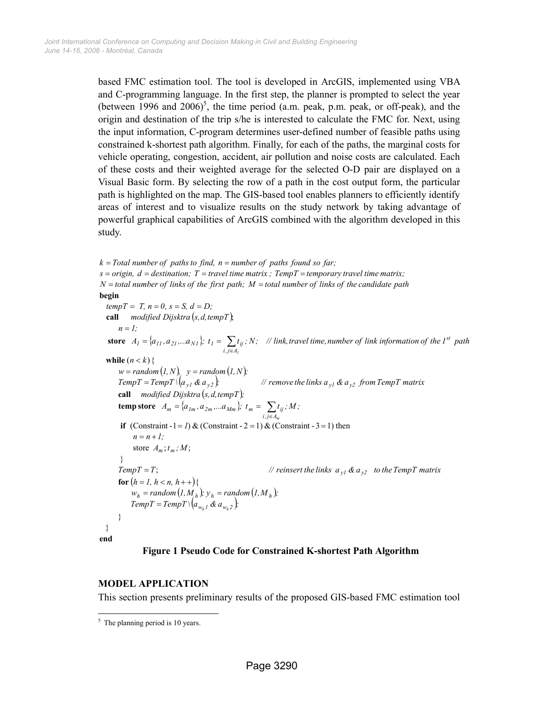based FMC estimation tool. The tool is developed in ArcGIS, implemented using VBA and C-programming language. In the first step, the planner is prompted to select the year (between 1996 and  $2006$ <sup>5</sup>, the time period (a.m. peak, p.m. peak, or off-peak), and the origin and destination of the trip s/he is interested to calculate the FMC for. Next, using the input information, C-program determines user-defined number of feasible paths using constrained k-shortest path algorithm. Finally, for each of the paths, the marginal costs for vehicle operating, congestion, accident, air pollution and noise costs are calculated. Each of these costs and their weighted average for the selected O-D pair are displayed on a Visual Basic form. By selecting the row of a path in the cost output form, the particular path is highlighted on the map. The GIS-based tool enables planners to efficiently identify areas of interest and to visualize results on the study network by taking advantage of powerful graphical capabilities of ArcGIS combined with the algorithm developed in this study.

call modified Dijsktra  $(s, d, tempT)$ ; store  $A_I = \{a_{II}, a_{2I}, ... a_{NI}\}\; t_I = \sum t_{ii}$ ; N; // link, travel time, number of link information of the 1<sup>st</sup> path  $w = random (1, N), y = random (1, N);$  $= TempT \sqrt{(a_{v1} & a_{v2})}$ call *modified Dijsktra*  $(s, d, tempT)$ ; temp store  $A_m = \{a_{lm}, a_{2m}, ... a_{Mm}\}; t_m = \sum t_{ij}; M;$  $TempT = T;$ <br>**for**  $(h = 1, h < n, h++)$  $(I, M_h)$ ;  $y_h = random (I, M_h)$ ;  $w_h = \text{random}(I, M_h); y_h = \text{random}(I, M_h);$ <br>  $TempT = TempT \setminus (a_{w_h I} \& a_{w_h 2});$ end if  $(Constant -1 = 1) & (Constant -2 = 1) & (Constant -3 = 1)$  then while  $(n < k)$  { begin } } } store  $A_m$ ;  $t_m$ ; M; TempT = T;  $\blacksquare$  // reinsert the links  $a_{y1}$  &  $a_{y2}$  to the TempT matrix  $n = n + 1;$ TempT = TempT \ $\left(a_{y1}$  &  $a_{y2}$  }:  $\qquad$  // remove the links  $a_{y1}$  &  $a_{y2}$  from TempT matrix  $n = 1$ ;  $tempT = T, n = 0, s = S, d = D;$  $N =$  total number of links of the first path;  $M =$  total number of links of the candidate path  $s = origin, d = destination; T = travel time matrix; TempT = temporary travel time matrix;$  $k = Total number of paths to find, n = number of paths found so far;$  $h -$ r anaom $\langle I, M \rangle_h$  ),  $y_h -$ r anaom $\langle I, M \rangle_h$  $\sum_{j=1}^{m} a_{j} a_{j} \ldots a_{j} a_{m}$  j,  $\sum_{j=1}^{n} a_{j} a_{j}$ <br>i,je $A_{m}$  $j = \{a_{11}, a_{21}, \dots a_{N1} \}$ ,  $i = \sum_{i,j \in A_1} i_{ij}$  $= TempT \setminus (a_{w_h} \otimes a_{w_h})$ m 1  $= random(I, M_h); y_h =$  $TempT = T$ ;  $=\{a_{lm}, a_{2m}, ... a_{Mm}\}; t_m = \sum_{i,j \in A}$  $=\{a_{11}, a_{21}, ... a_{N1}\}; t_1 = \sum_{i,j \in \mathcal{A}}$ 

#### Figure 1 Pseudo Code for Constrained K-shortest Path Algorithm

#### MODEL APPLICATION

This section presents preliminary results of the proposed GIS-based FMC estimation tool

 $\frac{1}{5}$  The planning period is 10 years.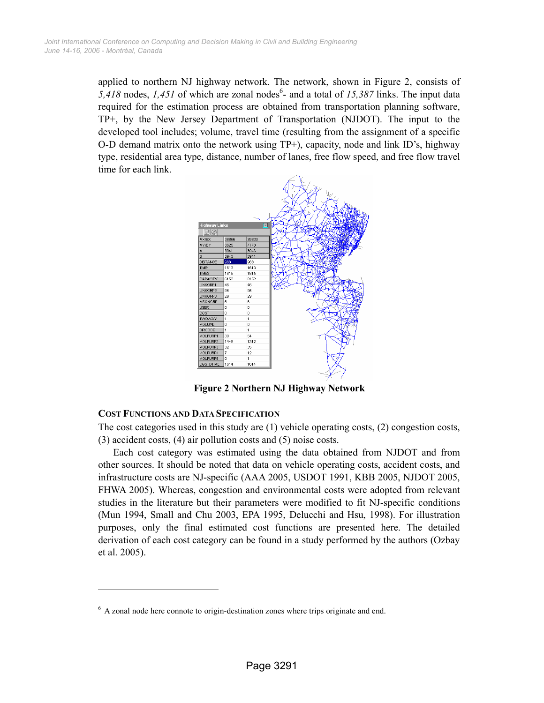applied to northern NJ highway network. The network, shown in Figure 2, consists of 5,418 nodes, 1,451 of which are zonal nodes<sup>6</sup>- and a total of 15,387 links. The input data required for the estimation process are obtained from transportation planning software, TP+, by the New Jersey Department of Transportation (NJDOT). The input to the developed tool includes; volume, travel time (resulting from the assignment of a specific O-D demand matrix onto the network using TP+), capacity, node and link ID's, highway type, residential area type, distance, number of lanes, free flow speed, and free flow travel time for each link.



Figure 2 Northern NJ Highway Network

## COST FUNCTIONS AND DATA SPECIFICATION

-

The cost categories used in this study are (1) vehicle operating costs, (2) congestion costs, (3) accident costs, (4) air pollution costs and (5) noise costs.

Each cost category was estimated using the data obtained from NJDOT and from other sources. It should be noted that data on vehicle operating costs, accident costs, and infrastructure costs are NJ-specific (AAA 2005, USDOT 1991, KBB 2005, NJDOT 2005, FHWA 2005). Whereas, congestion and environmental costs were adopted from relevant studies in the literature but their parameters were modified to fit NJ-specific conditions (Mun 1994, Small and Chu 2003, EPA 1995, Delucchi and Hsu, 1998). For illustration purposes, only the final estimated cost functions are presented here. The detailed derivation of each cost category can be found in a study performed by the authors (Ozbay et al. 2005).

<sup>&</sup>lt;sup>6</sup> A zonal node here connote to origin-destination zones where trips originate and end.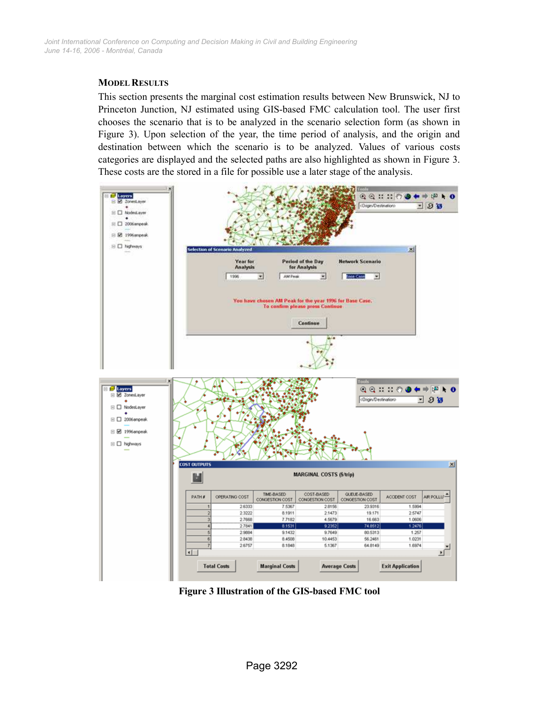#### MODEL RESULTS

This section presents the marginal cost estimation results between New Brunswick, NJ to Princeton Junction, NJ estimated using GIS-based FMC calculation tool. The user first chooses the scenario that is to be analyzed in the scenario selection form (as shown in Figure 3). Upon selection of the year, the time period of analysis, and the origin and destination between which the scenario is to be analyzed. Values of various costs categories are displayed and the selected paths are also highlighted as shown in Figure 3. These costs are the stored in a file for possible use a later stage of the analysis.



Figure 3 Illustration of the GIS-based FMC tool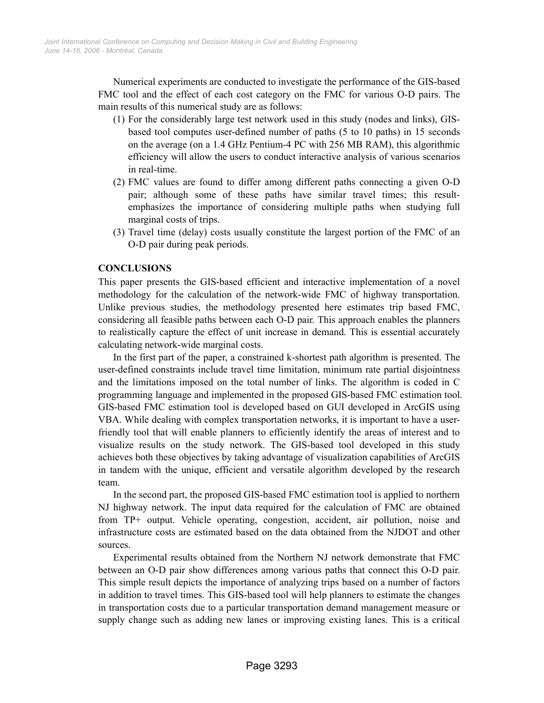Numerical experiments are conducted to investigate the performance of the GIS-based FMC tool and the effect of each cost category on the FMC for various O-D pairs. The main results of this numerical study are as follows:

- (1) For the considerably large test network used in this study (nodes and links), GISbased tool computes user-defined number of paths (5 to 10 paths) in 15 seconds on the average (on a 1.4 GHz Pentium-4 PC with 256 MB RAM), this algorithmic efficiency will allow the users to conduct interactive analysis of various scenarios in real-time.
- (2) FMC values are found to differ among different paths connecting a given O-D pair; although some of these paths have similar travel times; this resultemphasizes the importance of considering multiple paths when studying full marginal costs of trips.
- (3) Travel time (delay) costs usually constitute the largest portion of the FMC of an O-D pair during peak periods.

# **CONCLUSIONS**

This paper presents the GIS-based efficient and interactive implementation of a novel methodology for the calculation of the network-wide FMC of highway transportation. Unlike previous studies, the methodology presented here estimates trip based FMC, considering all feasible paths between each O-D pair. This approach enables the planners to realistically capture the effect of unit increase in demand. This is essential accurately calculating network-wide marginal costs.

In the first part of the paper, a constrained k-shortest path algorithm is presented. The user-defined constraints include travel time limitation, minimum rate partial disjointness and the limitations imposed on the total number of links. The algorithm is coded in C programming language and implemented in the proposed GIS-based FMC estimation tool. GIS-based FMC estimation tool is developed based on GUI developed in ArcGIS using VBA. While dealing with complex transportation networks, it is important to have a userfriendly tool that will enable planners to efficiently identify the areas of interest and to visualize results on the study network. The GIS-based tool developed in this study achieves both these objectives by taking advantage of visualization capabilities of ArcGIS in tandem with the unique, efficient and versatile algorithm developed by the research team.

In the second part, the proposed GIS-based FMC estimation tool is applied to northern NJ highway network. The input data required for the calculation of FMC are obtained from TP+ output. Vehicle operating, congestion, accident, air pollution, noise and infrastructure costs are estimated based on the data obtained from the NJDOT and other sources.

Experimental results obtained from the Northern NJ network demonstrate that FMC between an O-D pair show differences among various paths that connect this O-D pair. This simple result depicts the importance of analyzing trips based on a number of factors in addition to travel times. This GIS-based tool will help planners to estimate the changes in transportation costs due to a particular transportation demand management measure or supply change such as adding new lanes or improving existing lanes. This is a critical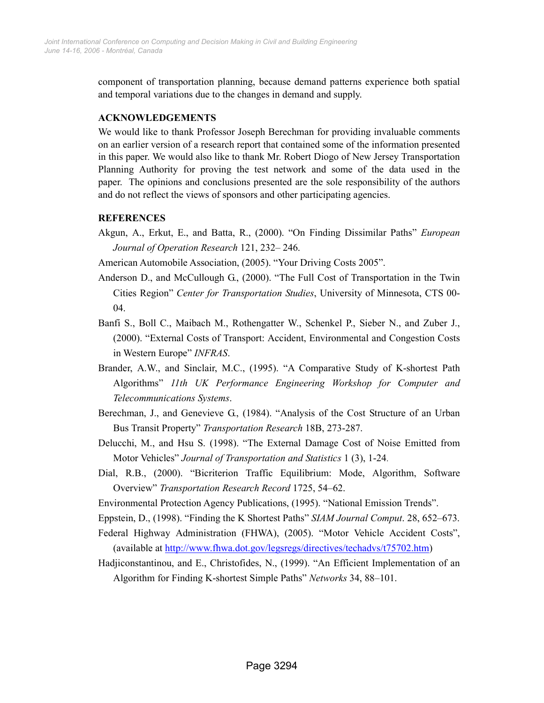component of transportation planning, because demand patterns experience both spatial and temporal variations due to the changes in demand and supply.

## ACKNOWLEDGEMENTS

We would like to thank Professor Joseph Berechman for providing invaluable comments on an earlier version of a research report that contained some of the information presented in this paper. We would also like to thank Mr. Robert Diogo of New Jersey Transportation Planning Authority for proving the test network and some of the data used in the paper. The opinions and conclusions presented are the sole responsibility of the authors and do not reflect the views of sponsors and other participating agencies.

#### **REFERENCES**

Akgun, A., Erkut, E., and Batta, R., (2000). "On Finding Dissimilar Paths" European Journal of Operation Research 121, 232– 246.

American Automobile Association, (2005). "Your Driving Costs 2005".

- Anderson D., and McCullough G., (2000). "The Full Cost of Transportation in the Twin Cities Region" Center for Transportation Studies, University of Minnesota, CTS 00- 04.
- Banfi S., Boll C., Maibach M., Rothengatter W., Schenkel P., Sieber N., and Zuber J., (2000). "External Costs of Transport: Accident, Environmental and Congestion Costs in Western Europe" INFRAS.
- Brander, A.W., and Sinclair, M.C., (1995). "A Comparative Study of K-shortest Path Algorithms" 11th UK Performance Engineering Workshop for Computer and Telecommunications Systems.
- Berechman, J., and Genevieve G., (1984). "Analysis of the Cost Structure of an Urban Bus Transit Property" Transportation Research 18B, 273-287.
- Delucchi, M., and Hsu S. (1998). "The External Damage Cost of Noise Emitted from Motor Vehicles" Journal of Transportation and Statistics 1 (3), 1-24.
- Dial, R.B., (2000). "Bicriterion Traffic Equilibrium: Mode, Algorithm, Software Overview" Transportation Research Record 1725, 54–62.
- Environmental Protection Agency Publications, (1995). "National Emission Trends".
- Eppstein, D., (1998). "Finding the K Shortest Paths" SIAM Journal Comput. 28, 652–673.
- Federal Highway Administration (FHWA), (2005). "Motor Vehicle Accident Costs", (available at http://www.fhwa.dot.gov/legsregs/directives/techadvs/t75702.htm)
- Hadjiconstantinou, and E., Christofides, N., (1999). "An Efficient Implementation of an Algorithm for Finding K-shortest Simple Paths" Networks 34, 88–101.